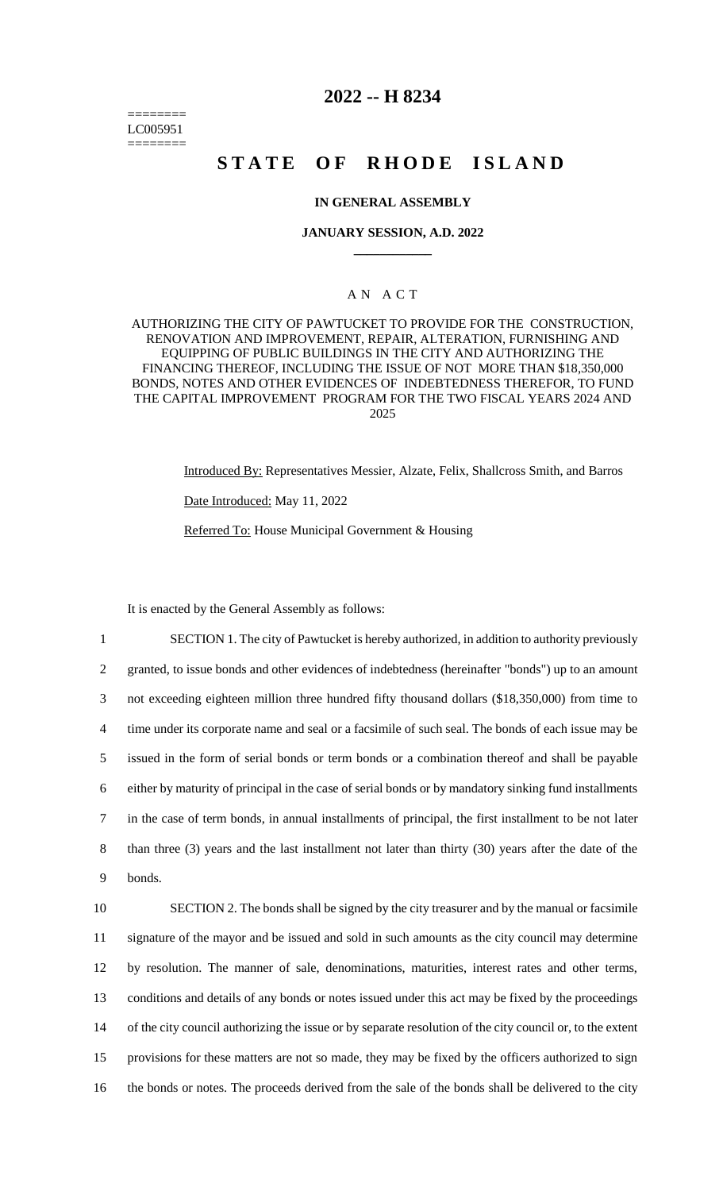======== LC005951 ========

## **2022 -- H 8234**

# **STATE OF RHODE ISLAND**

#### **IN GENERAL ASSEMBLY**

#### **JANUARY SESSION, A.D. 2022 \_\_\_\_\_\_\_\_\_\_\_\_**

### A N A C T

AUTHORIZING THE CITY OF PAWTUCKET TO PROVIDE FOR THE CONSTRUCTION, RENOVATION AND IMPROVEMENT, REPAIR, ALTERATION, FURNISHING AND EQUIPPING OF PUBLIC BUILDINGS IN THE CITY AND AUTHORIZING THE FINANCING THEREOF, INCLUDING THE ISSUE OF NOT MORE THAN \$18,350,000 BONDS, NOTES AND OTHER EVIDENCES OF INDEBTEDNESS THEREFOR, TO FUND THE CAPITAL IMPROVEMENT PROGRAM FOR THE TWO FISCAL YEARS 2024 AND 2025

> Introduced By: Representatives Messier, Alzate, Felix, Shallcross Smith, and Barros Date Introduced: May 11, 2022

Referred To: House Municipal Government & Housing

It is enacted by the General Assembly as follows:

 SECTION 1. The city of Pawtucket is hereby authorized, in addition to authority previously granted, to issue bonds and other evidences of indebtedness (hereinafter "bonds") up to an amount not exceeding eighteen million three hundred fifty thousand dollars (\$18,350,000) from time to time under its corporate name and seal or a facsimile of such seal. The bonds of each issue may be issued in the form of serial bonds or term bonds or a combination thereof and shall be payable either by maturity of principal in the case of serial bonds or by mandatory sinking fund installments in the case of term bonds, in annual installments of principal, the first installment to be not later than three (3) years and the last installment not later than thirty (30) years after the date of the 9 bonds.

 SECTION 2. The bonds shall be signed by the city treasurer and by the manual or facsimile signature of the mayor and be issued and sold in such amounts as the city council may determine by resolution. The manner of sale, denominations, maturities, interest rates and other terms, conditions and details of any bonds or notes issued under this act may be fixed by the proceedings of the city council authorizing the issue or by separate resolution of the city council or, to the extent provisions for these matters are not so made, they may be fixed by the officers authorized to sign the bonds or notes. The proceeds derived from the sale of the bonds shall be delivered to the city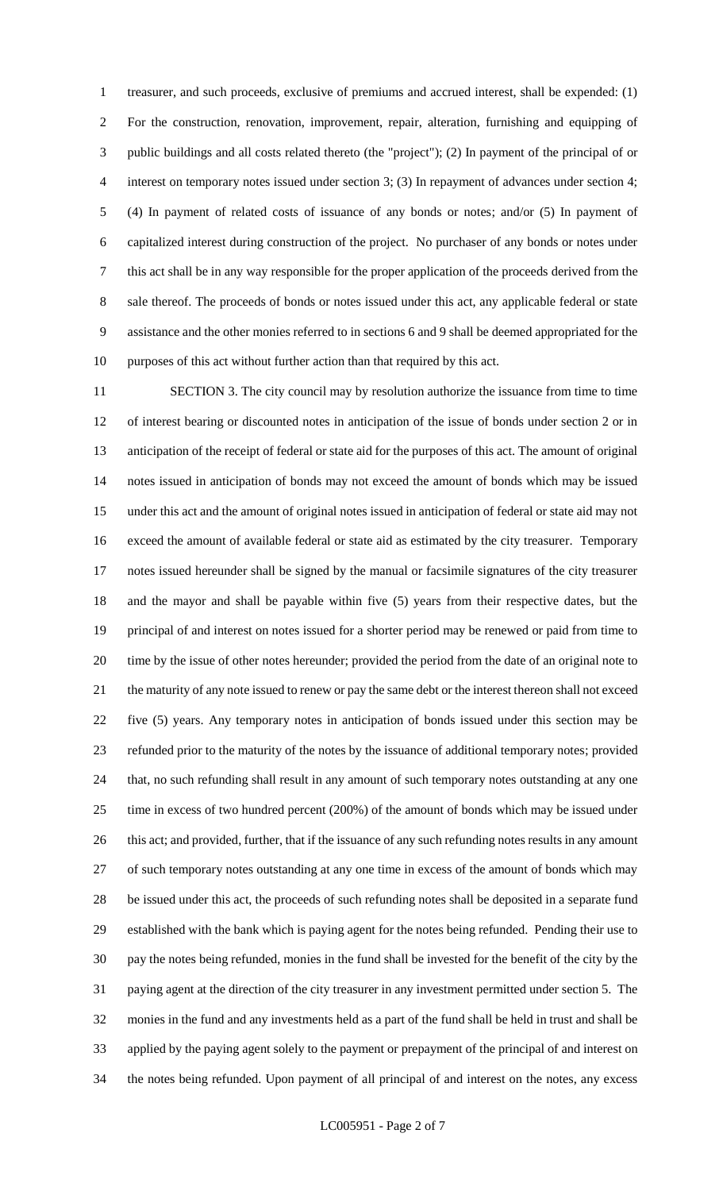treasurer, and such proceeds, exclusive of premiums and accrued interest, shall be expended: (1) For the construction, renovation, improvement, repair, alteration, furnishing and equipping of public buildings and all costs related thereto (the "project"); (2) In payment of the principal of or interest on temporary notes issued under section 3; (3) In repayment of advances under section 4; (4) In payment of related costs of issuance of any bonds or notes; and/or (5) In payment of capitalized interest during construction of the project. No purchaser of any bonds or notes under this act shall be in any way responsible for the proper application of the proceeds derived from the sale thereof. The proceeds of bonds or notes issued under this act, any applicable federal or state assistance and the other monies referred to in sections 6 and 9 shall be deemed appropriated for the purposes of this act without further action than that required by this act.

 SECTION 3. The city council may by resolution authorize the issuance from time to time of interest bearing or discounted notes in anticipation of the issue of bonds under section 2 or in anticipation of the receipt of federal or state aid for the purposes of this act. The amount of original notes issued in anticipation of bonds may not exceed the amount of bonds which may be issued under this act and the amount of original notes issued in anticipation of federal or state aid may not exceed the amount of available federal or state aid as estimated by the city treasurer. Temporary notes issued hereunder shall be signed by the manual or facsimile signatures of the city treasurer and the mayor and shall be payable within five (5) years from their respective dates, but the principal of and interest on notes issued for a shorter period may be renewed or paid from time to time by the issue of other notes hereunder; provided the period from the date of an original note to the maturity of any note issued to renew or pay the same debt or the interest thereon shall not exceed five (5) years. Any temporary notes in anticipation of bonds issued under this section may be refunded prior to the maturity of the notes by the issuance of additional temporary notes; provided that, no such refunding shall result in any amount of such temporary notes outstanding at any one time in excess of two hundred percent (200%) of the amount of bonds which may be issued under 26 this act; and provided, further, that if the issuance of any such refunding notes results in any amount of such temporary notes outstanding at any one time in excess of the amount of bonds which may be issued under this act, the proceeds of such refunding notes shall be deposited in a separate fund established with the bank which is paying agent for the notes being refunded. Pending their use to pay the notes being refunded, monies in the fund shall be invested for the benefit of the city by the paying agent at the direction of the city treasurer in any investment permitted under section 5. The monies in the fund and any investments held as a part of the fund shall be held in trust and shall be applied by the paying agent solely to the payment or prepayment of the principal of and interest on the notes being refunded. Upon payment of all principal of and interest on the notes, any excess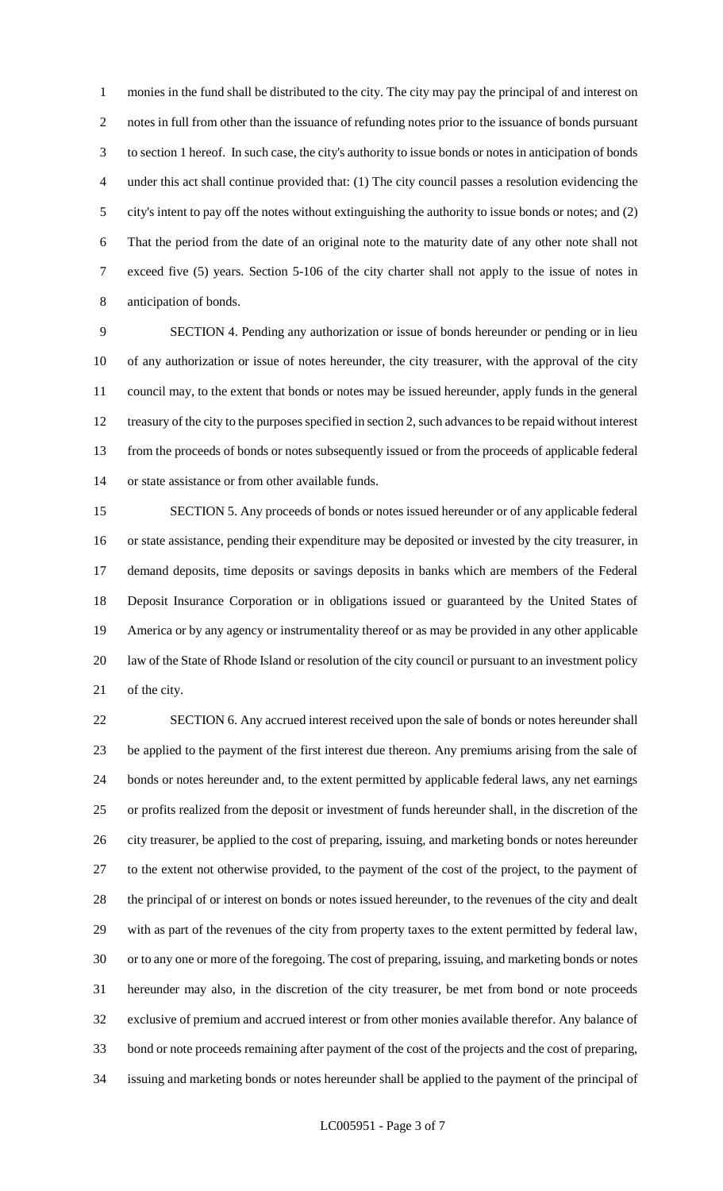monies in the fund shall be distributed to the city. The city may pay the principal of and interest on notes in full from other than the issuance of refunding notes prior to the issuance of bonds pursuant to section 1 hereof. In such case, the city's authority to issue bonds or notes in anticipation of bonds under this act shall continue provided that: (1) The city council passes a resolution evidencing the city's intent to pay off the notes without extinguishing the authority to issue bonds or notes; and (2) That the period from the date of an original note to the maturity date of any other note shall not exceed five (5) years. Section 5-106 of the city charter shall not apply to the issue of notes in anticipation of bonds.

 SECTION 4. Pending any authorization or issue of bonds hereunder or pending or in lieu of any authorization or issue of notes hereunder, the city treasurer, with the approval of the city council may, to the extent that bonds or notes may be issued hereunder, apply funds in the general treasury of the city to the purposes specified in section 2, such advances to be repaid without interest from the proceeds of bonds or notes subsequently issued or from the proceeds of applicable federal or state assistance or from other available funds.

 SECTION 5. Any proceeds of bonds or notes issued hereunder or of any applicable federal or state assistance, pending their expenditure may be deposited or invested by the city treasurer, in demand deposits, time deposits or savings deposits in banks which are members of the Federal Deposit Insurance Corporation or in obligations issued or guaranteed by the United States of America or by any agency or instrumentality thereof or as may be provided in any other applicable law of the State of Rhode Island or resolution of the city council or pursuant to an investment policy of the city.

 SECTION 6. Any accrued interest received upon the sale of bonds or notes hereunder shall be applied to the payment of the first interest due thereon. Any premiums arising from the sale of bonds or notes hereunder and, to the extent permitted by applicable federal laws, any net earnings or profits realized from the deposit or investment of funds hereunder shall, in the discretion of the city treasurer, be applied to the cost of preparing, issuing, and marketing bonds or notes hereunder to the extent not otherwise provided, to the payment of the cost of the project, to the payment of the principal of or interest on bonds or notes issued hereunder, to the revenues of the city and dealt with as part of the revenues of the city from property taxes to the extent permitted by federal law, or to any one or more of the foregoing. The cost of preparing, issuing, and marketing bonds or notes hereunder may also, in the discretion of the city treasurer, be met from bond or note proceeds exclusive of premium and accrued interest or from other monies available therefor. Any balance of bond or note proceeds remaining after payment of the cost of the projects and the cost of preparing, issuing and marketing bonds or notes hereunder shall be applied to the payment of the principal of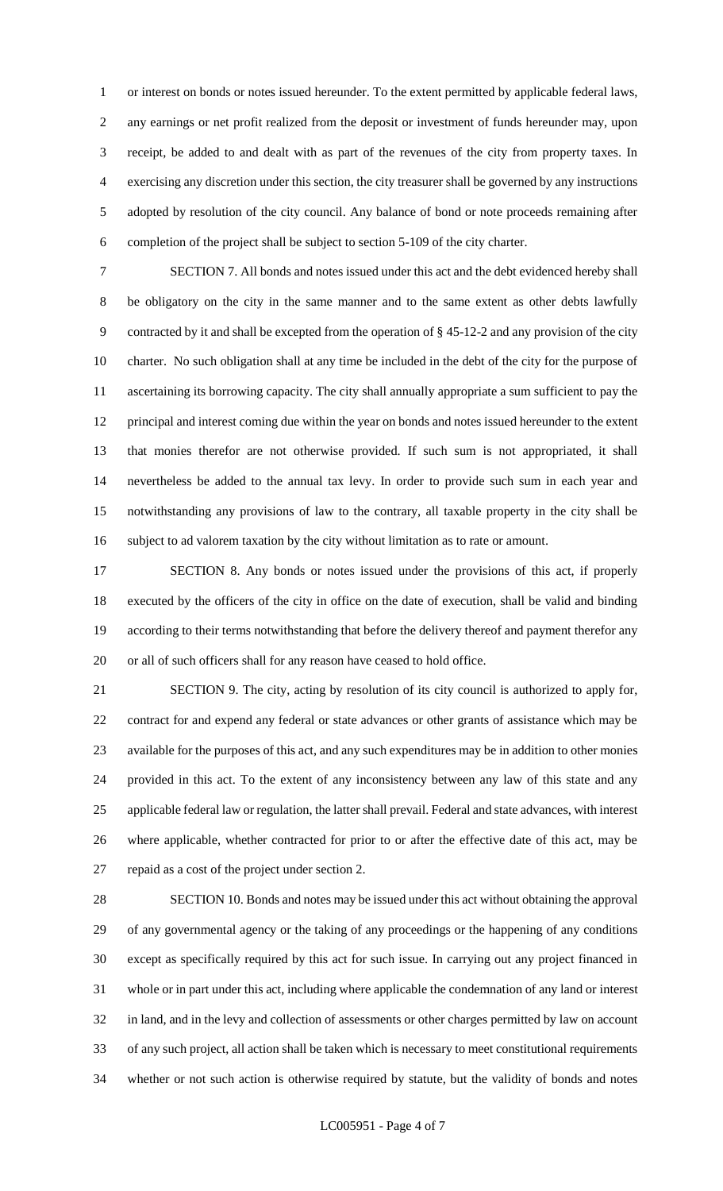or interest on bonds or notes issued hereunder. To the extent permitted by applicable federal laws, any earnings or net profit realized from the deposit or investment of funds hereunder may, upon receipt, be added to and dealt with as part of the revenues of the city from property taxes. In exercising any discretion under this section, the city treasurer shall be governed by any instructions adopted by resolution of the city council. Any balance of bond or note proceeds remaining after completion of the project shall be subject to section 5-109 of the city charter.

 SECTION 7. All bonds and notes issued under this act and the debt evidenced hereby shall be obligatory on the city in the same manner and to the same extent as other debts lawfully contracted by it and shall be excepted from the operation of § 45-12-2 and any provision of the city charter. No such obligation shall at any time be included in the debt of the city for the purpose of ascertaining its borrowing capacity. The city shall annually appropriate a sum sufficient to pay the principal and interest coming due within the year on bonds and notes issued hereunder to the extent that monies therefor are not otherwise provided. If such sum is not appropriated, it shall nevertheless be added to the annual tax levy. In order to provide such sum in each year and notwithstanding any provisions of law to the contrary, all taxable property in the city shall be subject to ad valorem taxation by the city without limitation as to rate or amount.

 SECTION 8. Any bonds or notes issued under the provisions of this act, if properly executed by the officers of the city in office on the date of execution, shall be valid and binding according to their terms notwithstanding that before the delivery thereof and payment therefor any or all of such officers shall for any reason have ceased to hold office.

 SECTION 9. The city, acting by resolution of its city council is authorized to apply for, contract for and expend any federal or state advances or other grants of assistance which may be available for the purposes of this act, and any such expenditures may be in addition to other monies provided in this act. To the extent of any inconsistency between any law of this state and any applicable federal law or regulation, the latter shall prevail. Federal and state advances, with interest where applicable, whether contracted for prior to or after the effective date of this act, may be repaid as a cost of the project under section 2.

 SECTION 10. Bonds and notes may be issued under this act without obtaining the approval of any governmental agency or the taking of any proceedings or the happening of any conditions except as specifically required by this act for such issue. In carrying out any project financed in whole or in part under this act, including where applicable the condemnation of any land or interest in land, and in the levy and collection of assessments or other charges permitted by law on account of any such project, all action shall be taken which is necessary to meet constitutional requirements whether or not such action is otherwise required by statute, but the validity of bonds and notes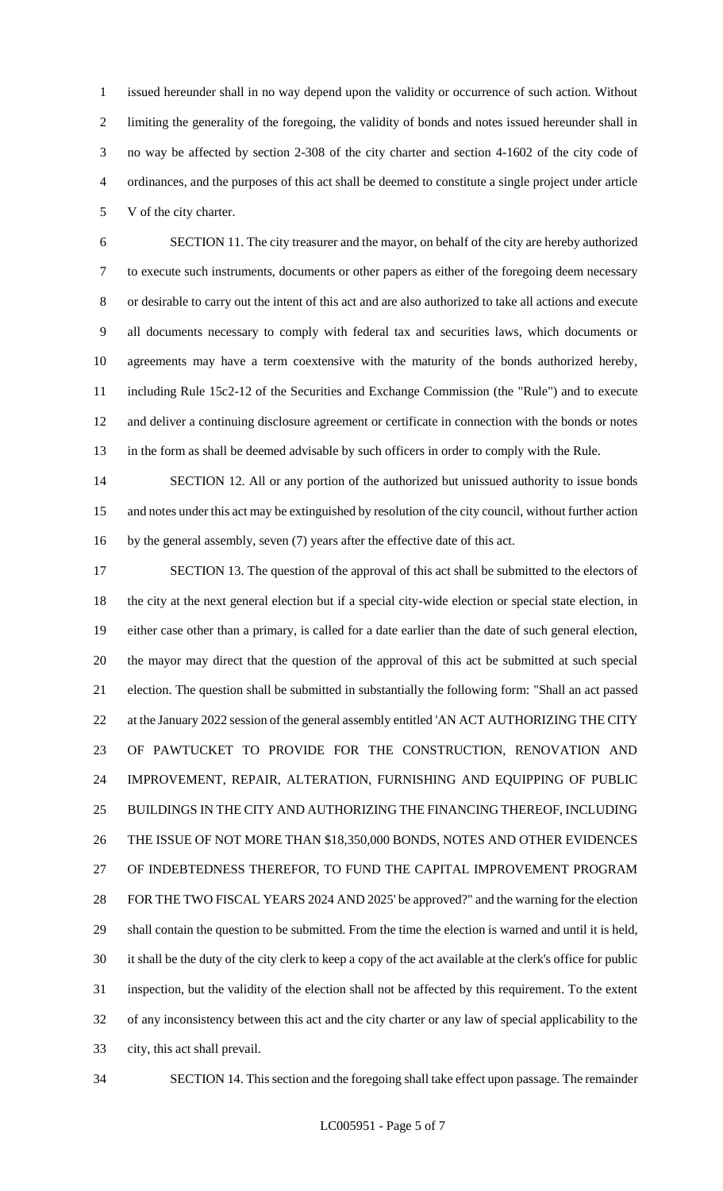issued hereunder shall in no way depend upon the validity or occurrence of such action. Without limiting the generality of the foregoing, the validity of bonds and notes issued hereunder shall in no way be affected by section 2-308 of the city charter and section 4-1602 of the city code of ordinances, and the purposes of this act shall be deemed to constitute a single project under article V of the city charter.

 SECTION 11. The city treasurer and the mayor, on behalf of the city are hereby authorized to execute such instruments, documents or other papers as either of the foregoing deem necessary or desirable to carry out the intent of this act and are also authorized to take all actions and execute all documents necessary to comply with federal tax and securities laws, which documents or agreements may have a term coextensive with the maturity of the bonds authorized hereby, including Rule 15c2-12 of the Securities and Exchange Commission (the "Rule") and to execute and deliver a continuing disclosure agreement or certificate in connection with the bonds or notes in the form as shall be deemed advisable by such officers in order to comply with the Rule.

 SECTION 12. All or any portion of the authorized but unissued authority to issue bonds and notes under this act may be extinguished by resolution of the city council, without further action by the general assembly, seven (7) years after the effective date of this act.

17 SECTION 13. The question of the approval of this act shall be submitted to the electors of the city at the next general election but if a special city-wide election or special state election, in either case other than a primary, is called for a date earlier than the date of such general election, the mayor may direct that the question of the approval of this act be submitted at such special election. The question shall be submitted in substantially the following form: "Shall an act passed 22 at the January 2022 session of the general assembly entitled 'AN ACT AUTHORIZING THE CITY OF PAWTUCKET TO PROVIDE FOR THE CONSTRUCTION, RENOVATION AND IMPROVEMENT, REPAIR, ALTERATION, FURNISHING AND EQUIPPING OF PUBLIC BUILDINGS IN THE CITY AND AUTHORIZING THE FINANCING THEREOF, INCLUDING THE ISSUE OF NOT MORE THAN \$18,350,000 BONDS, NOTES AND OTHER EVIDENCES OF INDEBTEDNESS THEREFOR, TO FUND THE CAPITAL IMPROVEMENT PROGRAM FOR THE TWO FISCAL YEARS 2024 AND 2025' be approved?" and the warning for the election shall contain the question to be submitted. From the time the election is warned and until it is held, it shall be the duty of the city clerk to keep a copy of the act available at the clerk's office for public inspection, but the validity of the election shall not be affected by this requirement. To the extent of any inconsistency between this act and the city charter or any law of special applicability to the city, this act shall prevail.

SECTION 14. This section and the foregoing shall take effect upon passage. The remainder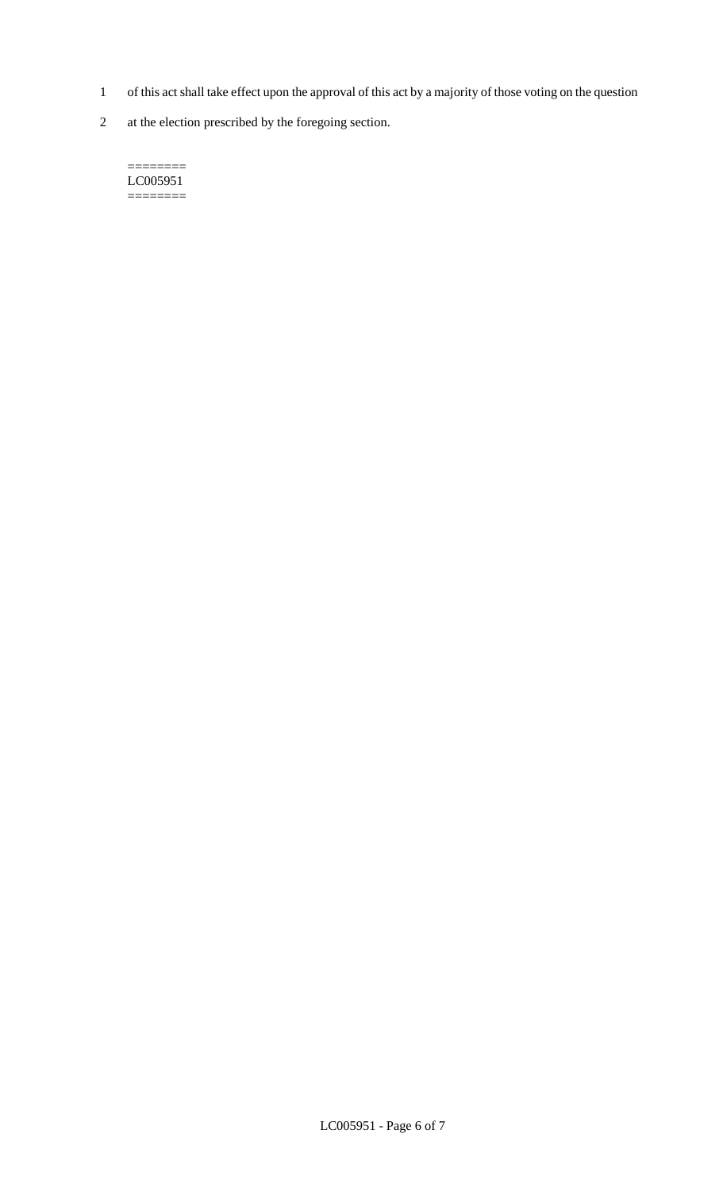- 1 of this act shall take effect upon the approval of this act by a majority of those voting on the question
- 2 at the election prescribed by the foregoing section.

======== LC005951  $=$